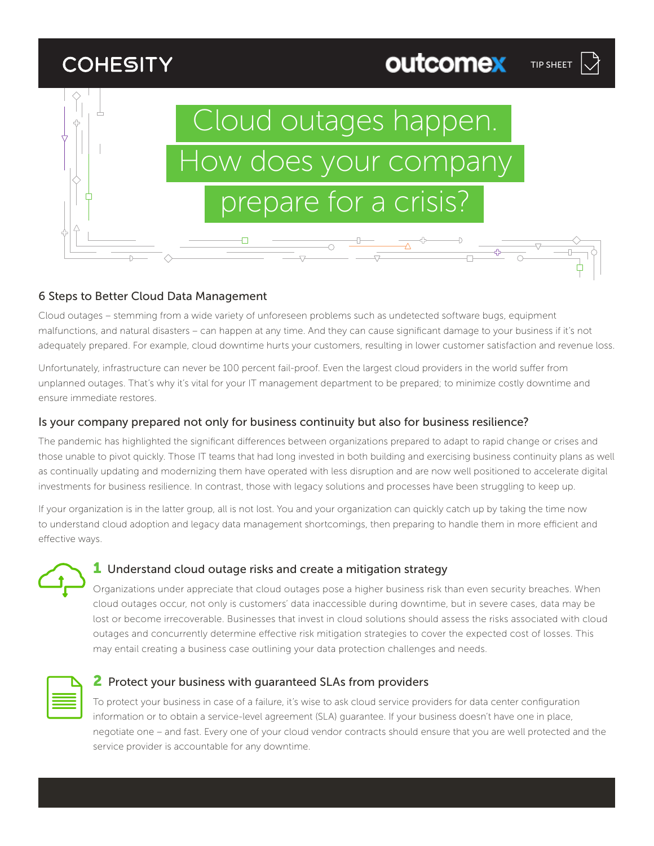# **COHESITY**



TIP SHEET

outcomex

# 6 Steps to Better Cloud Data Management

Cloud outages – stemming from a wide variety of unforeseen problems such as undetected software bugs, equipment malfunctions, and natural disasters – can happen at any time. And they can cause significant damage to your business if it's not adequately prepared. For example, cloud downtime hurts your customers, resulting in lower customer satisfaction and revenue loss.

Unfortunately, infrastructure can never be 100 percent fail-proof. Even the largest cloud providers in the world suffer from unplanned outages. That's why it's vital for your IT management department to be prepared; to minimize costly downtime and ensure immediate restores.

## Is your company prepared not only for business continuity but also for business resilience?

The pandemic has highlighted the significant differences between organizations prepared to adapt to rapid change or crises and those unable to pivot quickly. Those IT teams that had long invested in both building and exercising business continuity plans as well as continually updating and modernizing them have operated with less disruption and are now well positioned to accelerate digital investments for business resilience. In contrast, those with legacy solutions and processes have been struggling to keep up.

If your organization is in the latter group, all is not lost. You and your organization can quickly catch up by taking the time now to understand cloud adoption and legacy data management shortcomings, then preparing to handle them in more efficient and effective ways.



# **1** Understand cloud outage risks and create a mitigation strategy

Organizations under appreciate that cloud outages pose a higher business risk than even security breaches. When cloud outages occur, not only is customers' data inaccessible during downtime, but in severe cases, data may be lost or become irrecoverable. Businesses that invest in cloud solutions should assess the risks associated with cloud outages and concurrently determine effective risk mitigation strategies to cover the expected cost of losses. This may entail creating a business case outlining your data protection challenges and needs.



# **2** Protect your business with guaranteed SLAs from providers

To protect your business in case of a failure, it's wise to ask cloud service providers for data center configuration information or to obtain a service-level agreement (SLA) guarantee. If your business doesn't have one in place, negotiate one – and fast. Every one of your cloud vendor contracts should ensure that you are well protected and the service provider is accountable for any downtime.